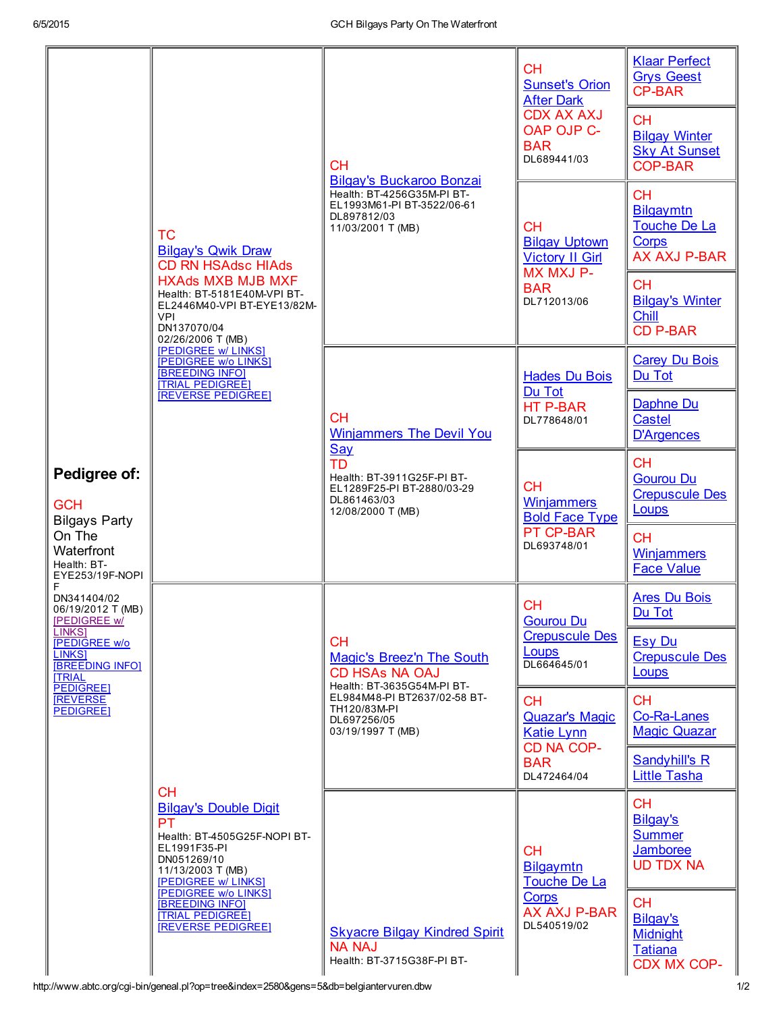| Pedigree of:<br><b>GCH</b><br><b>Bilgays Party</b><br>On The<br>Waterfront<br>Health: BT-<br>EYE253/19F-NOPI<br>F<br>DN341404/02<br>06/19/2012 T (MB)<br>[PEDIGREE w/<br><b>LINKS1</b><br><b>IPEDIGREE w/o</b><br><b>LINKS1</b><br><b>IBREEDING INFOI</b><br><b>ITRIAL</b><br><b>PEDIGREE</b><br><b>IREVERSE</b><br><b>PEDIGREE</b> | ТC<br><b>Bilgay's Qwik Draw</b><br><b>CD RN HSAdsc HIAds</b><br><b>HXAds MXB MJB MXF</b><br>Health: BT-5181E40M-VPI BT-<br>EL2446M40-VPI BT-EYE13/82M-<br><b>VPI</b><br>DN137070/04<br>02/26/2006 T (MB)<br><b>[PEDIGREE w/ LINKS]</b><br><b>[PEDIGREE w/o LINKS]</b><br><b>BREEDING INFOI</b><br><b>TRIAL PEDIGREE!</b><br><b>REVERSE PEDIGREE</b> | <b>CH</b><br><b>Bilgay's Buckaroo Bonzai</b><br>Health: BT-4256G35M-PI BT-<br>EL1993M61-PI BT-3522/06-61<br>DL897812/03<br>11/03/2001 T (MB)                                       | <b>CH</b><br><b>Sunset's Orion</b><br><b>After Dark</b><br><b>CDX AX AXJ</b><br>OAP OJP C-<br><b>BAR</b><br>DL689441/03<br><b>CH</b><br><b>Bilgay Uptown</b><br><b>Victory II Girl</b><br>MX MXJ P-<br><b>BAR</b><br>DL712013/06 | <b>Klaar Perfect</b><br><b>Grys Geest</b><br><b>CP-BAR</b><br><b>CH</b><br><b>Bilgay Winter</b><br><b>Sky At Sunset</b><br><b>COP-BAR</b><br><b>CH</b><br><b>Bilgaymtn</b><br><b>Touche De La</b><br><b>Corps</b><br><b>AX AXJ P-BAR</b><br><b>CH</b><br><b>Bilgay's Winter</b><br><b>Chill</b><br><b>CD P-BAR</b> |
|-------------------------------------------------------------------------------------------------------------------------------------------------------------------------------------------------------------------------------------------------------------------------------------------------------------------------------------|-----------------------------------------------------------------------------------------------------------------------------------------------------------------------------------------------------------------------------------------------------------------------------------------------------------------------------------------------------|------------------------------------------------------------------------------------------------------------------------------------------------------------------------------------|----------------------------------------------------------------------------------------------------------------------------------------------------------------------------------------------------------------------------------|--------------------------------------------------------------------------------------------------------------------------------------------------------------------------------------------------------------------------------------------------------------------------------------------------------------------|
|                                                                                                                                                                                                                                                                                                                                     |                                                                                                                                                                                                                                                                                                                                                     | <b>CH</b><br><b>Winjammers The Devil You</b><br><b>Say</b><br>TD<br>Health: BT-3911G25F-PI BT-<br>EL1289F25-PI BT-2880/03-29<br>DL861463/03<br>12/08/2000 T (MB)                   | <b>Hades Du Bois</b><br>Du Tot<br><b>HT P-BAR</b><br>DL778648/01                                                                                                                                                                 | <b>Carey Du Bois</b><br>Du Tot<br>Daphne Du<br>Castel<br><b>D'Argences</b>                                                                                                                                                                                                                                         |
|                                                                                                                                                                                                                                                                                                                                     |                                                                                                                                                                                                                                                                                                                                                     |                                                                                                                                                                                    | <b>CH</b><br><b>Winjammers</b><br><b>Bold Face Type</b><br><b>PT CP-BAR</b><br>DL693748/01                                                                                                                                       | <b>CH</b><br><b>Gourou Du</b><br><b>Crepuscule Des</b><br>Loups<br><b>CH</b><br><b>Winjammers</b>                                                                                                                                                                                                                  |
|                                                                                                                                                                                                                                                                                                                                     | <b>CH</b><br><b>Bilgay's Double Digit</b><br><b>PT</b><br>Health: BT-4505G25F-NOPI BT-<br>EL1991F35-PI<br>DN051269/10<br>11/13/2003 T (MB)<br><b>[PEDIGREE w/ LINKS]</b><br><b>[PEDIGREE w/o LINKS]</b><br><b>IBREEDING INFOI</b><br><b>[TRIAL PEDIGREE]</b><br><b>[REVERSE PEDIGREE]</b>                                                           | CH.<br><b>Magic's Breez'n The South</b><br><b>CD HSAS NA OAJ</b><br>Health: BT-3635G54M-PI BT-<br>EL984M48-PI BT2637/02-58 BT-<br>TH120/83M-PI<br>DL697256/05<br>03/19/1997 T (MB) | CН<br><b>Gourou Du</b><br><b>Crepuscule Des</b><br>Loups<br>DL664645/01<br><b>CH</b><br><b>Quazar's Magic</b><br><b>Katie Lynn</b><br>CD NA COP-<br><b>BAR</b><br>DL472464/04                                                    | <b>Face Value</b><br><b>Ares Du Bois</b><br>Du Tot<br><b>Esy Du</b><br><b>Crepuscule Des</b><br>Loups<br><b>CH</b><br>Co-Ra-Lanes<br><b>Magic Quazar</b><br><b>Sandyhill's R</b><br><b>Little Tasha</b>                                                                                                            |
|                                                                                                                                                                                                                                                                                                                                     |                                                                                                                                                                                                                                                                                                                                                     | <b>Skyacre Bilgay Kindred Spirit</b><br><b>NA NAJ</b><br>Health: BT-3715G38F-PI BT-                                                                                                | <b>CH</b><br>Bilgaymtn<br><b>Touche De La</b><br><b>Corps</b><br>AX AXJ P-BAR<br>DL540519/02                                                                                                                                     | <b>CH</b><br>Bilgay's<br><b>Summer</b><br>Jamboree<br><b>UD TDX NA</b><br><b>CH</b><br>Bilgay's<br><b>Midnight</b><br><b>Tatiana</b><br><b>CDX MX COP-</b>                                                                                                                                                         |